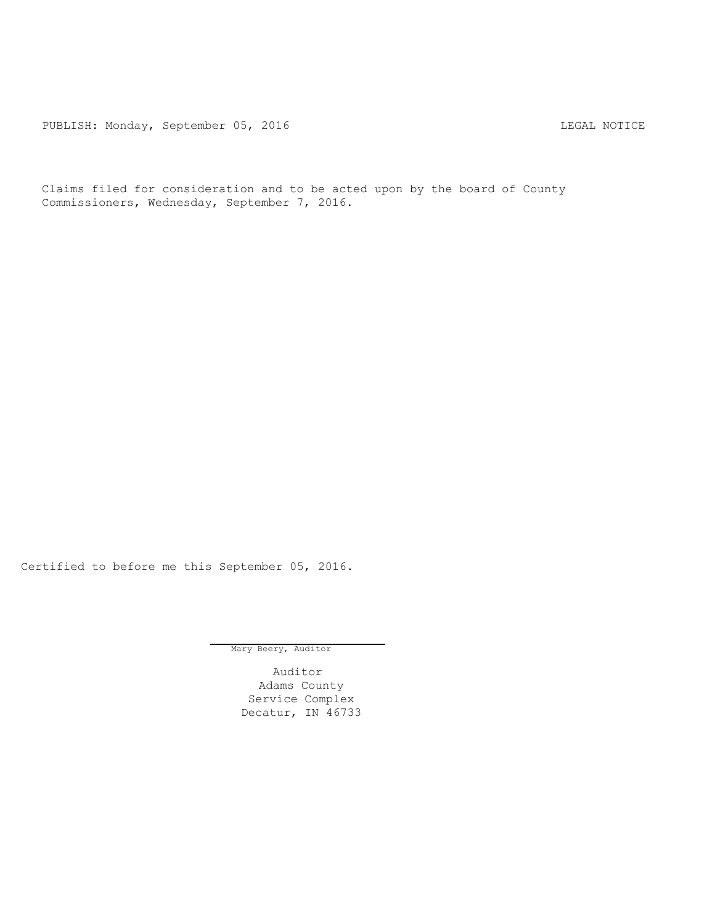PUBLISH: Monday, September 05, 2016 CHA CHANGE CONSERVATION CHANGE CONTROL PUBLISH: MOTICE

Claims filed for consideration and to be acted upon by the board of County Commissioners, Wednesday, September 7, 2016.

Certified to before me this September 05, 2016.

Mary Beery, Auditor

Auditor Adams County Service Complex Decatur, IN 46733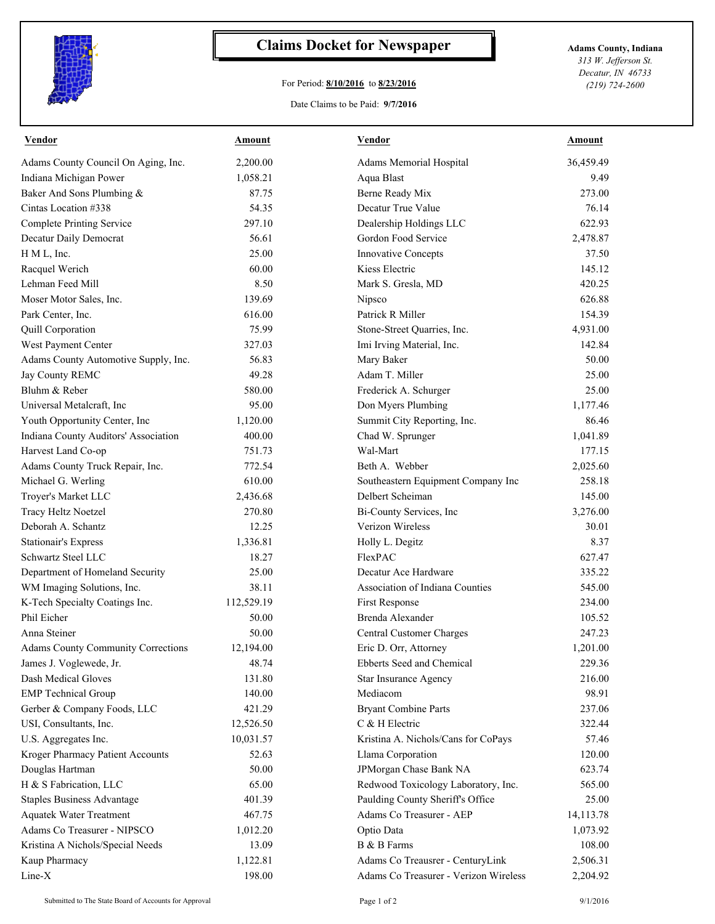

## **Claims Docket for Newspaper Adams County, Indiana**

## For Period: **8/10/2016** to **8/23/2016**

*313 W. Jefferson St. Decatur, IN 46733 (219) 724-2600*

## Date Claims to be Paid: **9/7/2016**

| <b>Vendor</b>                             | <b>Amount</b> | <b>Vendor</b>                         | <b>Amount</b> |
|-------------------------------------------|---------------|---------------------------------------|---------------|
| Adams County Council On Aging, Inc.       | 2,200.00      | Adams Memorial Hospital               | 36,459.49     |
| Indiana Michigan Power                    | 1,058.21      | Aqua Blast                            | 9.49          |
| Baker And Sons Plumbing &                 | 87.75         | Berne Ready Mix                       | 273.00        |
| Cintas Location #338                      | 54.35         | Decatur True Value                    | 76.14         |
| <b>Complete Printing Service</b>          | 297.10        | Dealership Holdings LLC               | 622.93        |
| Decatur Daily Democrat                    | 56.61         | Gordon Food Service                   | 2,478.87      |
| H M L, Inc.                               | 25.00         | <b>Innovative Concepts</b>            | 37.50         |
| Racquel Werich                            | 60.00         | Kiess Electric                        | 145.12        |
| Lehman Feed Mill                          | 8.50          | Mark S. Gresla, MD                    | 420.25        |
| Moser Motor Sales, Inc.                   | 139.69        | Nipsco                                | 626.88        |
| Park Center, Inc.                         | 616.00        | Patrick R Miller                      | 154.39        |
| Quill Corporation                         | 75.99         | Stone-Street Quarries, Inc.           | 4,931.00      |
| West Payment Center                       | 327.03        | Imi Irving Material, Inc.             | 142.84        |
| Adams County Automotive Supply, Inc.      | 56.83         | Mary Baker                            | 50.00         |
| Jay County REMC                           | 49.28         | Adam T. Miller                        | 25.00         |
| Bluhm & Reber                             | 580.00        | Frederick A. Schurger                 | 25.00         |
| Universal Metalcraft, Inc                 | 95.00         | Don Myers Plumbing                    | 1,177.46      |
| Youth Opportunity Center, Inc             | 1,120.00      | Summit City Reporting, Inc.           | 86.46         |
| Indiana County Auditors' Association      | 400.00        | Chad W. Sprunger                      | 1,041.89      |
| Harvest Land Co-op                        | 751.73        | Wal-Mart                              | 177.15        |
| Adams County Truck Repair, Inc.           | 772.54        | Beth A. Webber                        | 2,025.60      |
| Michael G. Werling                        | 610.00        | Southeastern Equipment Company Inc    | 258.18        |
| Troyer's Market LLC                       | 2,436.68      | Delbert Scheiman                      | 145.00        |
| Tracy Heltz Noetzel                       | 270.80        | Bi-County Services, Inc               | 3,276.00      |
| Deborah A. Schantz                        | 12.25         | Verizon Wireless                      | 30.01         |
| <b>Stationair's Express</b>               | 1,336.81      | Holly L. Degitz                       | 8.37          |
| Schwartz Steel LLC                        | 18.27         | FlexPAC                               | 627.47        |
| Department of Homeland Security           | 25.00         | Decatur Ace Hardware                  | 335.22        |
| WM Imaging Solutions, Inc.                | 38.11         | Association of Indiana Counties       | 545.00        |
| K-Tech Specialty Coatings Inc.            | 112,529.19    | <b>First Response</b>                 | 234.00        |
| Phil Eicher                               | 50.00         | Brenda Alexander                      | 105.52        |
| Anna Steiner                              | 50.00         | Central Customer Charges              | 247.23        |
| <b>Adams County Community Corrections</b> | 12,194.00     | Eric D. Orr, Attorney                 | 1,201.00      |
| James J. Voglewede, Jr.                   | 48.74         | Ebberts Seed and Chemical             | 229.36        |
| Dash Medical Gloves                       | 131.80        | Star Insurance Agency                 | 216.00        |
| <b>EMP</b> Technical Group                | 140.00        | Mediacom                              | 98.91         |
| Gerber & Company Foods, LLC               | 421.29        | <b>Bryant Combine Parts</b>           | 237.06        |
| USI, Consultants, Inc.                    | 12,526.50     | C & H Electric                        | 322.44        |
| U.S. Aggregates Inc.                      | 10,031.57     | Kristina A. Nichols/Cans for CoPays   | 57.46         |
| Kroger Pharmacy Patient Accounts          | 52.63         | Llama Corporation                     | 120.00        |
| Douglas Hartman                           | 50.00         | JPMorgan Chase Bank NA                | 623.74        |
| H & S Fabrication, LLC                    | 65.00         | Redwood Toxicology Laboratory, Inc.   | 565.00        |
| <b>Staples Business Advantage</b>         | 401.39        | Paulding County Sheriff's Office      | 25.00         |
| <b>Aquatek Water Treatment</b>            | 467.75        | Adams Co Treasurer - AEP              | 14,113.78     |
| Adams Co Treasurer - NIPSCO               | 1,012.20      | Optio Data                            | 1,073.92      |
| Kristina A Nichols/Special Needs          | 13.09         | B & B Farms                           | 108.00        |
| Kaup Pharmacy                             | 1,122.81      | Adams Co Treausrer - CenturyLink      | 2,506.31      |
| Line-X                                    | 198.00        | Adams Co Treasurer - Verizon Wireless | 2,204.92      |